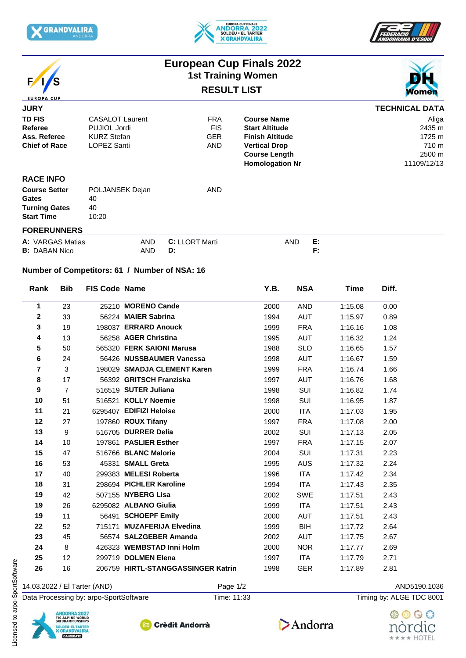







## **European Cup Finals 2022 1st Training Women RESULT LIST**



| <b>JURY</b>          |                        |            |                        | <b>TECHNICAL DATA</b> |
|----------------------|------------------------|------------|------------------------|-----------------------|
| <b>TD FIS</b>        | <b>CASALOT Laurent</b> | <b>FRA</b> | <b>Course Name</b>     | Aliga                 |
| Referee              | PUJIOL Jordi           | <b>FIS</b> | <b>Start Altitude</b>  | 2435 m                |
| Ass. Referee         | <b>KURZ Stefan</b>     | <b>GER</b> | <b>Finish Altitude</b> | 1725 m                |
| <b>Chief of Race</b> | LOPEZ Santi            | <b>AND</b> | <b>Vertical Drop</b>   | 710 m                 |
|                      |                        |            | <b>Course Length</b>   | 2500 m                |
|                      |                        |            | <b>Homologation Nr</b> | 11109/12/13           |
| <b>RACE INFO</b>     |                        |            |                        |                       |
| <b>Course Setter</b> | POLJANSEK Dejan        | <b>AND</b> |                        |                       |

| <b>Gates</b>         | 40    |  |  |  |  |  |
|----------------------|-------|--|--|--|--|--|
| <b>Turning Gates</b> | 40    |  |  |  |  |  |
| <b>Start Time</b>    | 10:20 |  |  |  |  |  |
| <b>FORERUNNERS</b>   |       |  |  |  |  |  |

| A: VARGAS Matias     | AND | <b>ORT Marti</b> | AND | . . |
|----------------------|-----|------------------|-----|-----|
| <b>B:</b> DABAN Nico | AND | D.               |     |     |

## **Number of Competitors: 61 / Number of NSA: 16**

| Rank                    | <b>Bib</b>     | <b>FIS Code Name</b>         |                                    | Y.B. | <b>NSA</b> | Time    | Diff.        |
|-------------------------|----------------|------------------------------|------------------------------------|------|------------|---------|--------------|
| 1                       | 23             |                              | 25210 MORENO Cande                 | 2000 | <b>AND</b> | 1:15.08 | 0.00         |
| $\mathbf{2}$            | 33             |                              | 56224 MAIER Sabrina                | 1994 | <b>AUT</b> | 1:15.97 | 0.89         |
| 3                       | 19             |                              | 198037 ERRARD Anouck               | 1999 | <b>FRA</b> | 1:16.16 | 1.08         |
| 4                       | 13             |                              | 56258 AGER Christina               | 1995 | AUT        | 1:16.32 | 1.24         |
| 5                       | 50             |                              | 565320 FERK SAIONI Marusa          | 1988 | <b>SLO</b> | 1:16.65 | 1.57         |
| 6                       | 24             |                              | 56426 NUSSBAUMER Vanessa           | 1998 | AUT        | 1:16.67 | 1.59         |
| $\overline{\mathbf{r}}$ | 3              |                              | 198029 SMADJA CLEMENT Karen        | 1999 | <b>FRA</b> | 1:16.74 | 1.66         |
| 8                       | 17             |                              | 56392 GRITSCH Franziska            | 1997 | <b>AUT</b> | 1:16.76 | 1.68         |
| 9                       | $\overline{7}$ |                              | 516519 SUTER Juliana               | 1998 | <b>SUI</b> | 1:16.82 | 1.74         |
| 10                      | 51             |                              | 516521 KOLLY Noemie                | 1998 | SUI        | 1:16.95 | 1.87         |
| 11                      | 21             |                              | 6295407 EDIFIZI Heloise            | 2000 | <b>ITA</b> | 1:17.03 | 1.95         |
| 12                      | 27             |                              | 197860 ROUX Tifany                 | 1997 | <b>FRA</b> | 1:17.08 | 2.00         |
| 13                      | 9              |                              | 516705 DURRER Delia                | 2002 | SUI        | 1:17.13 | 2.05         |
| 14                      | 10             |                              | 197861 PASLIER Esther              | 1997 | <b>FRA</b> | 1:17.15 | 2.07         |
| 15                      | 47             |                              | 516766 BLANC Malorie               | 2004 | <b>SUI</b> | 1:17.31 | 2.23         |
| 16                      | 53             |                              | 45331 SMALL Greta                  | 1995 | <b>AUS</b> | 1:17.32 | 2.24         |
| 17                      | 40             |                              | 299383 MELESI Roberta              | 1996 | <b>ITA</b> | 1:17.42 | 2.34         |
| 18                      | 31             |                              | 298694 PICHLER Karoline            | 1994 | <b>ITA</b> | 1:17.43 | 2.35         |
| 19                      | 42             |                              | 507155 NYBERG Lisa                 | 2002 | <b>SWE</b> | 1:17.51 | 2.43         |
| 19                      | 26             |                              | 6295082 ALBANO Giulia              | 1999 | <b>ITA</b> | 1:17.51 | 2.43         |
| 19                      | 11             |                              | 56491 SCHOEPF Emily                | 2000 | <b>AUT</b> | 1:17.51 | 2.43         |
| 22                      | 52             |                              | 715171 MUZAFERIJA Elvedina         | 1999 | <b>BIH</b> | 1:17.72 | 2.64         |
| 23                      | 45             |                              | 56574 SALZGEBER Amanda             | 2002 | AUT        | 1:17.75 | 2.67         |
| 24                      | 8              |                              | 426323 WEMBSTAD Inni Holm          | 2000 | <b>NOR</b> | 1:17.77 | 2.69         |
| 25                      | 12             |                              | 299719 DOLMEN Elena                | 1997 | <b>ITA</b> | 1:17.79 | 2.71         |
| 26                      | 16             |                              | 206759 HIRTL-STANGGASSINGER Katrin | 1998 | <b>GER</b> | 1:17.89 | 2.81         |
|                         |                | 14.03.2022 / El Tarter (AND) | Page 1/2                           |      |            |         | AND5190.1036 |